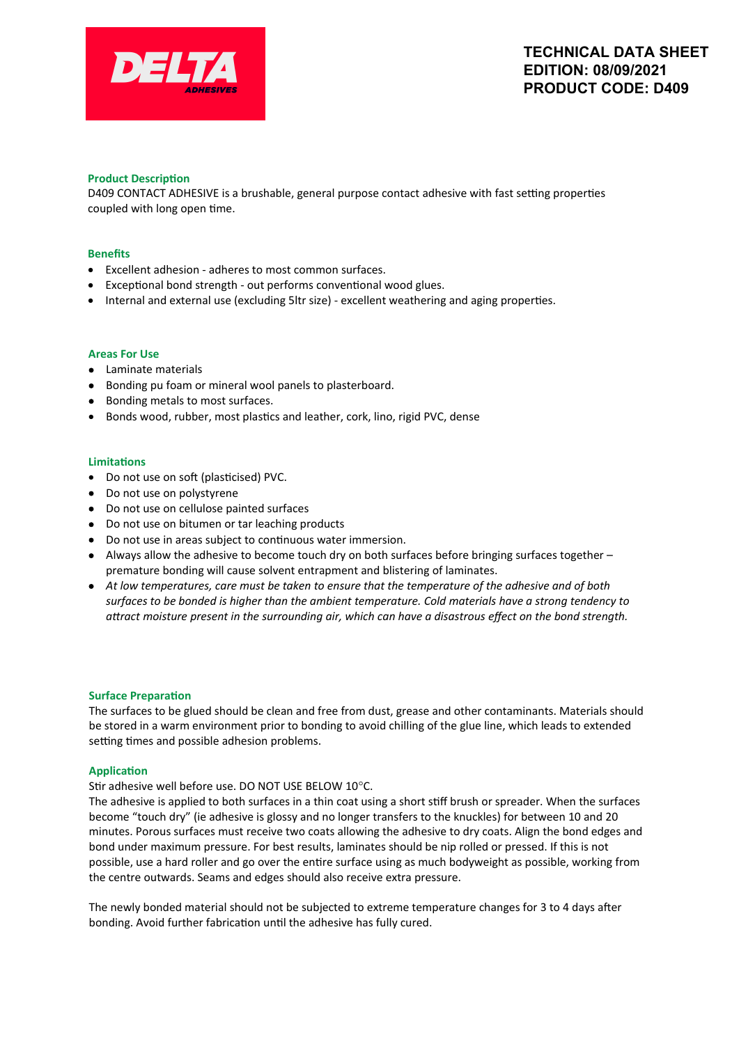

# **Product Description**

D409 CONTACT ADHESIVE is a brushable, general purpose contact adhesive with fast setting properties coupled with long open time.

### **Benefits**

- Excellent adhesion adheres to most common surfaces.
- Exceptional bond strength out performs conventional wood glues.
- Internal and external use (excluding 5ltr size) excellent weathering and aging properties.

#### **Areas For Use**

- Laminate materials
- Bonding pu foam or mineral wool panels to plasterboard.
- Bonding metals to most surfaces.
- Bonds wood, rubber, most plastics and leather, cork, lino, rigid PVC, dense

#### **Limitations**

- Do not use on soft (plasticised) PVC.
- Do not use on polystyrene
- Do not use on cellulose painted surfaces
- Do not use on bitumen or tar leaching products
- Do not use in areas subject to continuous water immersion.
- Always allow the adhesive to become touch dry on both surfaces before bringing surfaces together premature bonding will cause solvent entrapment and blistering of laminates.
- *At low temperatures, care must be taken to ensure that the temperature of the adhesive and of both surfaces to be bonded is higher than the ambient temperature. Cold materials have a strong tendency to attract moisture present in the surrounding air, which can have a disastrous effect on the bond strength.*

#### **Surface Preparation**

The surfaces to be glued should be clean and free from dust, grease and other contaminants. Materials should be stored in a warm environment prior to bonding to avoid chilling of the glue line, which leads to extended setting times and possible adhesion problems.

### **Application**

### Stir adhesive well before use. DO NOT USE BELOW 10°C.

The adhesive is applied to both surfaces in a thin coat using a short stiff brush or spreader. When the surfaces become "touch dry" (ie adhesive is glossy and no longer transfers to the knuckles) for between 10 and 20 minutes. Porous surfaces must receive two coats allowing the adhesive to dry coats. Align the bond edges and bond under maximum pressure. For best results, laminates should be nip rolled or pressed. If this is not possible, use a hard roller and go over the entire surface using as much bodyweight as possible, working from the centre outwards. Seams and edges should also receive extra pressure.

The newly bonded material should not be subjected to extreme temperature changes for 3 to 4 days after bonding. Avoid further fabrication until the adhesive has fully cured.